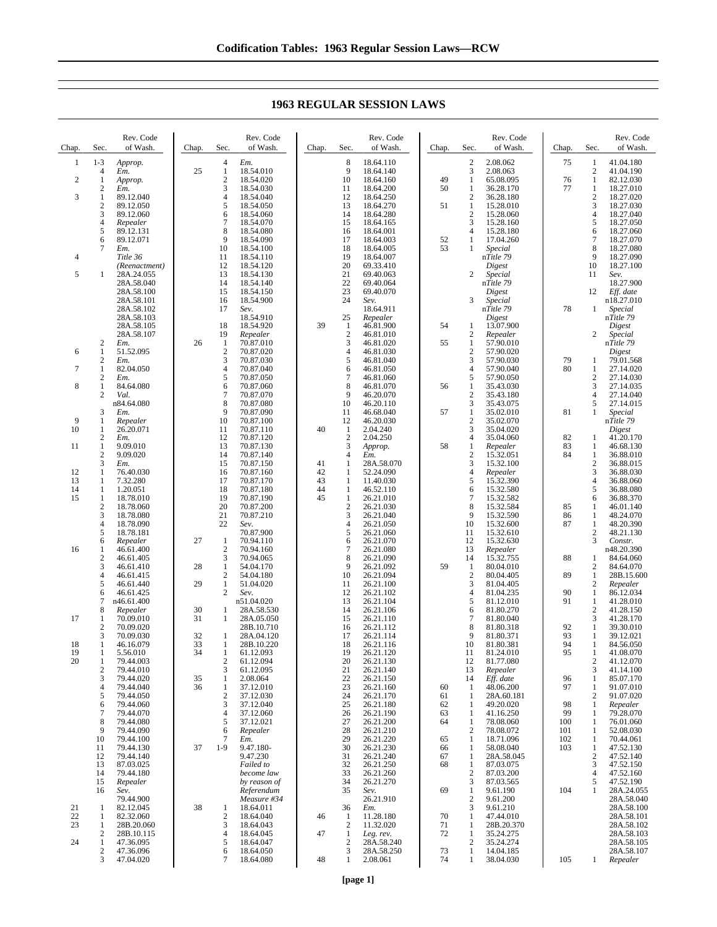| Chap.          | Sec.                             | Rev. Code<br>of Wash.    | Chap.    | Sec.                         | Rev. Code<br>of Wash.      | Chap.    | Sec.                           | Rev. Code<br>of Wash.   | Chap.    | Sec.                           | Rev. Code<br>of Wash.   | Chap.      | Sec.                | Rev. Code<br>of Wash.    |
|----------------|----------------------------------|--------------------------|----------|------------------------------|----------------------------|----------|--------------------------------|-------------------------|----------|--------------------------------|-------------------------|------------|---------------------|--------------------------|
| 1              | $1 - 3$                          | Approp.                  |          | 4                            | Em.                        |          | 8                              | 18.64.110               |          | $\overline{c}$                 | 2.08.062                | 75         | 1                   | 41.04.180                |
|                | $\overline{4}$                   | Em.                      | 25       | $\mathbf{1}$                 | 18.54.010                  |          | 9                              | 18.64.140               |          | 3                              | 2.08.063                |            | $\overline{2}$      | 41.04.190                |
| $\overline{2}$ | 1                                | Approp.                  |          | $\overline{\mathbf{c}}$<br>3 | 18.54.020                  |          | 10                             | 18.64.160               | 49<br>50 | 1                              | 65.08.095               | 76<br>77   | 1                   | 82.12.030                |
| 3              | $\boldsymbol{2}$<br>$\mathbf{1}$ | Em.<br>89.12.040         |          | $\overline{4}$               | 18.54.030<br>18.54.040     |          | 11<br>12                       | 18.64.200<br>18.64.250  |          | 1<br>$\overline{2}$            | 36.28.170<br>36.28.180  |            | 1<br>$\sqrt{2}$     | 18.27.010<br>18.27.020   |
|                | $\sqrt{2}$                       | 89.12.050                |          | 5                            | 18.54.050                  |          | 13                             | 18.64.270               | 51       | $\mathbf{1}$                   | 15.28.010               |            | $\mathfrak{Z}$      | 18.27.030                |
|                | 3                                | 89.12.060                |          | 6                            | 18.54.060                  |          | 14                             | 18.64.280               |          | $\overline{c}$                 | 15.28.060               |            | $\overline{4}$      | 18.27.040                |
|                | $\overline{4}$                   | Repealer                 |          | $\overline{7}$               | 18.54.070                  |          | 15                             | 18.64.165               |          | 3                              | 15.28.160               |            | 5                   | 18.27.050                |
|                | 5                                | 89.12.131                |          | 8                            | 18.54.080                  |          | 16                             | 18.64.001               |          | $\overline{4}$                 | 15.28.180               |            | 6                   | 18.27.060                |
|                | 6<br>$\tau$                      | 89.12.071<br>Em.         |          | 9<br>10                      | 18.54.090<br>18.54.100     |          | 17<br>18                       | 18.64.003<br>18.64.005  | 52<br>53 | 1<br>1                         | 17.04.260<br>Special    |            | $\tau$<br>8         | 18.27.070<br>18.27.080   |
| 4              |                                  | Title 36                 |          | 11                           | 18.54.110                  |          | 19                             | 18.64.007               |          |                                | nTitle 79               |            | 9                   | 18.27.090                |
|                |                                  | (Reenactment)            |          | 12                           | 18.54.120                  |          | 20                             | 69.33.410               |          |                                | Digest                  |            | 10                  | 18.27.100                |
| 5              | 1                                | 28A.24.055               |          | 13                           | 18.54.130                  |          | 21                             | 69.40.063               |          | $\overline{c}$                 | Special                 |            | 11                  | Sev.                     |
|                |                                  | 28A.58.040               |          | 14                           | 18.54.140                  |          | 22                             | 69.40.064               |          |                                | nTitle 79               |            |                     | 18.27.900                |
|                |                                  | 28A.58.100<br>28A.58.101 |          | 15<br>16                     | 18.54.150<br>18.54.900     |          | 23<br>24                       | 69.40.070<br>Sev.       |          | 3                              | Digest<br>Special       |            | 12                  | Eff. date<br>n18.27.010  |
|                |                                  | 28A.58.102               |          | 17                           | Sev.                       |          |                                | 18.64.911               |          |                                | nTitle 79               | 78         | 1                   | Special                  |
|                |                                  | 28A.58.103               |          |                              | 18.54.910                  |          | 25                             | Repealer                |          |                                | Digest                  |            |                     | nTitle 79                |
|                |                                  | 28A.58.105               |          | 18                           | 18.54.920                  | 39       | -1                             | 46.81.900               | 54       | 1                              | 13.07.900               |            |                     | Digest                   |
|                |                                  | 28A.58.107               |          | 19                           | Repealer                   |          | $\boldsymbol{2}$<br>3          | 46.81.010               |          | 2                              | Repealer                |            | 2                   | Special                  |
| 6              | $\boldsymbol{2}$<br>$\mathbf{1}$ | Em.<br>51.52.095         | 26       | 1<br>$\overline{c}$          | 70.87.010<br>70.87.020     |          | 4                              | 46.81.020<br>46.81.030  | 55       | $\mathbf{1}$<br>$\overline{c}$ | 57.90.010<br>57.90.020  |            |                     | nTitle 79<br>Digest      |
|                | $\sqrt{2}$                       | Em.                      |          | 3                            | 70.87.030                  |          | 5                              | 46.81.040               |          | 3                              | 57.90.030               | 79         | 1                   | 79.01.568                |
| 7              | 1                                | 82.04.050                |          | $\overline{\mathbf{4}}$      | 70.87.040                  |          | 6                              | 46.81.050               |          | 4                              | 57.90.040               | 80         | 1                   | 27.14.020                |
|                | $\sqrt{2}$                       | Em.                      |          | 5                            | 70.87.050                  |          | $\overline{7}$                 | 46.81.060               |          | 5                              | 57.90.050               |            | $\boldsymbol{2}$    | 27.14.030                |
| 8              | $\mathbf{1}$                     | 84.64.080                |          | 6<br>$\overline{7}$          | 70.87.060                  |          | 8                              | 46.81.070               | 56       | 1                              | 35.43.030               |            | 3                   | 27.14.035                |
|                | 2                                | Val.<br>n84.64.080       |          | 8                            | 70.87.070<br>70.87.080     |          | 9<br>10                        | 46.20.070<br>46.20.110  |          | $\overline{c}$<br>3            | 35.43.180<br>35.43.075  |            | $\overline{4}$<br>5 | 27.14.040<br>27.14.015   |
|                | 3                                | Em.                      |          | 9                            | 70.87.090                  |          | 11                             | 46.68.040               | 57       | 1                              | 35.02.010               | 81         | 1                   | Special                  |
| 9              | 1                                | Repealer                 |          | 10                           | 70.87.100                  |          | 12                             | 46.20.030               |          | $\overline{c}$                 | 35.02.070               |            |                     | nTitle 79                |
| 10             | 1                                | 26.20.071                |          | 11                           | 70.87.110                  | 40       | $\mathbf{1}$                   | 2.04.240                |          | 3                              | 35.04.020               |            |                     | Digest                   |
| 11             | $\sqrt{2}$<br>$\mathbf{1}$       | Em.<br>9.09.010          |          | 12<br>13                     | 70.87.120                  |          | $\overline{2}$<br>3            | 2.04.250                | 58       | 4                              | 35.04.060               | 82<br>83   | 1                   | 41.20.170                |
|                | $\overline{2}$                   | 9.09.020                 |          | 14                           | 70.87.130<br>70.87.140     |          | 4                              | Approp.<br>Em.          |          | 1<br>$\overline{c}$            | Repealer<br>15.32.051   | 84         | 1<br>1              | 46.68.130<br>36.88.010   |
|                | 3                                | Em.                      |          | 15                           | 70.87.150                  | 41       | 1                              | 28A.58.070              |          | 3                              | 15.32.100               |            | $\sqrt{2}$          | 36.88.015                |
| 12             | 1                                | 76.40.030                |          | 16                           | 70.87.160                  | 42       | 1                              | 52.24.090               |          | 4                              | Repealer                |            | 3                   | 36.88.030                |
| 13             | 1                                | 7.32.280                 |          | 17                           | 70.87.170                  | 43       | $\mathbf{1}$                   | 11.40.030               |          | 5                              | 15.32.390               |            | $\overline{4}$      | 36.88.060                |
| 14<br>15       | 1<br>$\mathbf{1}$                | 1.20.051<br>18.78.010    |          | 18<br>19                     | 70.87.180<br>70.87.190     | 44<br>45 | 1<br>$\mathbf{1}$              | 46.52.110<br>26.21.010  |          | 6<br>7                         | 15.32.580<br>15.32.582  |            | 5<br>6              | 36.88.080<br>36.88.370   |
|                | $\overline{c}$                   | 18.78.060                |          | 20                           | 70.87.200                  |          | $\boldsymbol{2}$               | 26.21.030               |          | 8                              | 15.32.584               | 85         | 1                   | 46.01.140                |
|                | 3                                | 18.78.080                |          | 21                           | 70.87.210                  |          | 3                              | 26.21.040               |          | 9                              | 15.32.590               | 86         | 1                   | 48.24.070                |
|                | $\overline{4}$                   | 18.78.090                |          | 22                           | Sev.                       |          | 4                              | 26.21.050               |          | 10                             | 15.32.600               | 87         | $\mathbf{1}$        | 48.20.390                |
|                | 5                                | 18.78.181                |          |                              | 70.87.900                  |          | 5                              | 26.21.060               |          | 11                             | 15.32.610               |            | $\sqrt{2}$          | 48.21.130                |
| 16             | 6<br>1                           | Repealer<br>46.61.400    | 27       | $\mathbf{1}$<br>$\sqrt{2}$   | 70.94.110<br>70.94.160     |          | 6<br>7                         | 26.21.070<br>26.21.080  |          | 12<br>13                       | 15.32.630<br>Repealer   |            | 3                   | Constr.<br>n48.20.390    |
|                | $\overline{2}$                   | 46.61.405                |          | 3                            | 70.94.065                  |          | 8                              | 26.21.090               |          | 14                             | 15.32.755               | 88         | 1                   | 84.64.060                |
|                | 3                                | 46.61.410                | 28       | $\mathbf{1}$                 | 54.04.170                  |          | 9                              | 26.21.092               | 59       | 1                              | 80.04.010               |            | $\overline{c}$      | 84.64.070                |
|                | $\overline{4}$                   | 46.61.415                |          | $\overline{\mathbf{c}}$      | 54.04.180                  |          | 10                             | 26.21.094               |          | $\overline{c}$                 | 80.04.405               | 89         | 1                   | 28B.15.600               |
|                | 5                                | 46.61.440                | 29       | $\mathbf{1}$                 | 51.04.020                  |          | 11                             | 26.21.100               |          | 3                              | 81.04.405               |            | $\overline{c}$      | Repealer                 |
|                | 6<br>$\overline{7}$              | 46.61.425<br>n46.61.400  |          | $\overline{c}$               | Sev.<br>n51.04.020         |          | 12<br>13                       | 26.21.102<br>26.21.104  |          | $\overline{4}$<br>5            | 81.04.235<br>81.12.010  | 90<br>91   | 1<br>1              | 86.12.034<br>41.28.010   |
|                | 8                                | Repealer                 | 30       | 1                            | 28A.58.530                 |          | 14                             | 26.21.106               |          | 6                              | 81.80.270               |            | $\overline{2}$      | 41.28.150                |
| 17             | 1                                | 70.09.010                | 31       | 1                            | 28A.05.050                 |          | 15                             | 26.21.110               |          | 7                              | 81.80.040               |            | 3                   | 41.28.170                |
|                | $\boldsymbol{2}$                 | 70.09.020                |          |                              | 28B.10.710                 |          | 16                             | 26.21.112               |          | 8                              | 81.80.318               | 92         | 1                   | 39.30.010                |
| 18             | 3<br>1                           | 70.09.030<br>46.16.079   | 32<br>33 | 1<br>1                       | 28A.04.120<br>28B.10.220   |          | 17<br>18                       | 26.21.114<br>26.21.116  |          | 9<br>10                        | 81.80.371<br>81.80.381  | 93<br>94   | 1<br>1              | 39.12.021<br>84.56.050   |
| 19             | 1                                | 5.56.010                 | 34       | 1                            | 61.12.093                  |          | 19                             | 26.21.120               |          | 11                             | 81.24.010               | 95         | 1                   | 41.08.070                |
| 20             | 1                                | 79.44.003                |          | 2                            | 61.12.094                  |          | 20                             | 26.21.130               |          | 12                             | 81.77.080               |            | 2                   | 41.12.070                |
|                | $\boldsymbol{2}$                 | 79.44.010                |          | 3                            | 61.12.095                  |          | 21                             | 26.21.140               |          | 13                             | Repealer                |            | 3                   | 41.14.100                |
|                | 3                                | 79.44.020                | 35<br>36 | 1                            | 2.08.064                   |          | 22                             | 26.21.150<br>26.21.160  |          | 14                             | Eff. date               | 96<br>97   | 1                   | 85.07.170                |
|                | $\overline{4}$<br>5              | 79.44.040<br>79.44.050   |          | 1<br>2                       | 37.12.010<br>37.12.030     |          | 23<br>24                       | 26.21.170               | 60<br>61 | 1<br>1                         | 48.06.200<br>28A.60.181 |            | 1<br>$\overline{2}$ | 91.07.010<br>91.07.020   |
|                | 6                                | 79.44.060                |          | 3                            | 37.12.040                  |          | 25                             | 26.21.180               | 62       | 1                              | 49.20.020               | 98         | 1                   | Repealer                 |
|                | $\tau$                           | 79.44.070                |          | 4                            | 37.12.060                  |          | 26                             | 26.21.190               | 63       | 1                              | 41.16.250               | 99         | 1                   | 79.28.070                |
|                | 8                                | 79.44.080                |          | 5                            | 37.12.021                  |          | 27                             | 26.21.200               | 64       | 1                              | 78.08.060               | 100        | 1                   | 76.01.060                |
|                | 9<br>10                          | 79.44.090<br>79.44.100   |          | 6<br>7                       | Repealer<br>Em.            |          | 28<br>29                       | 26.21.210<br>26.21.220  | 65       | $\overline{2}$<br>1            | 78.08.072<br>18.71.096  | 101<br>102 | 1<br>$\mathbf{1}$   | 52.08.030<br>70.44.061   |
|                | 11                               | 79.44.130                | 37       | $1-9$                        | 9.47.180-                  |          | 30                             | 26.21.230               | 66       | 1                              | 58.08.040               | 103        | 1                   | 47.52.130                |
|                | 12                               | 79.44.140                |          |                              | 9.47.230                   |          | 31                             | 26.21.240               | 67       | 1                              | 28A.58.045              |            | $\overline{2}$      | 47.52.140                |
|                | 13                               | 87.03.025                |          |                              | Failed to                  |          | 32                             | 26.21.250               | 68       | 1                              | 87.03.075               |            | 3                   | 47.52.150                |
|                | 14                               | 79.44.180                |          |                              | become law                 |          | 33                             | 26.21.260               |          | $\overline{2}$                 | 87.03.200               |            | $\overline{4}$      | 47.52.160                |
|                | 15<br>16                         | Repealer<br>Sev.         |          |                              | by reason of<br>Referendum |          | 34<br>35                       | 26.21.270<br>Sev.       | 69       | 3<br>1                         | 87.03.565<br>9.61.190   | 104        | 5<br>1              | 47.52.190<br>28A.24.055  |
|                |                                  | 79.44.900                |          |                              | Measure #34                |          |                                | 26.21.910               |          | $\overline{2}$                 | 9.61.200                |            |                     | 28A.58.040               |
| 21             | 1                                | 82.12.045                | 38       | 1                            | 18.64.011                  |          | 36                             | Em.                     |          | 3                              | 9.61.210                |            |                     | 28A.58.100               |
| 22             | 1                                | 82.32.060                |          | $\overline{c}$               | 18.64.040                  | 46       | -1                             | 11.28.180               | 70       | 1                              | 47.44.010               |            |                     | 28A.58.101               |
| 23             | 1<br>2                           | 28B.20.060               |          | 3<br>4                       | 18.64.043                  | 47       | $\overline{c}$                 | 11.32.020               | 71       | 1                              | 28B.20.370              |            |                     | 28A.58.102               |
| 24             | 1                                | 28B.10.115<br>47.36.095  |          | 5                            | 18.64.045<br>18.64.047     |          | $\mathbf{1}$<br>$\overline{c}$ | Leg. rev.<br>28A.58.240 | 72       | 1<br>$\boldsymbol{2}$          | 35.24.275<br>35.24.274  |            |                     | 28A.58.103<br>28A.58.105 |
|                | $\overline{c}$                   | 47.36.096                |          | 6                            | 18.64.050                  |          | 3                              | 28A.58.250              | 73       | 1                              | 14.04.185               |            |                     | 28A.58.107               |
|                | 3                                | 47.04.020                |          | 7                            | 18.64.080                  | 48       | 1                              | 2.08.061                | 74       | 1                              | 38.04.030               | 105        | 1                   | Repealer                 |

## **1963 REGULAR SESSION LAWS**

 $\overline{\phantom{a}}$ 

 $\begin{array}{c} \hline \end{array}$ 

 $\overline{\phantom{a}}$ 

 $\mathbf{I}$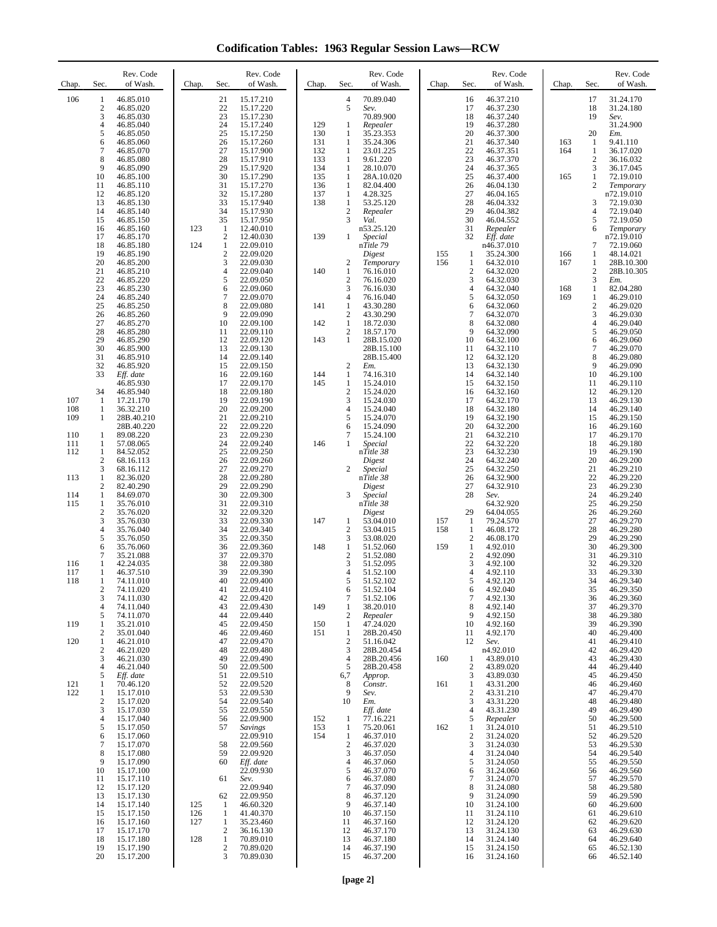**Codification Tables: 1963 Regular Session Laws—RCW**

| Chap.      | Sec.                       | Rev. Code<br>of Wash.               | Chap.      | Sec.                           | Rev. Code<br>of Wash.               | Chap.      | Sec.                             | Rev. Code<br>of Wash.          | Chap.      | Sec.                             | Rev. Code<br>of Wash.               | Chap.      | Sec.                             | Rev. Code<br>of Wash.          |
|------------|----------------------------|-------------------------------------|------------|--------------------------------|-------------------------------------|------------|----------------------------------|--------------------------------|------------|----------------------------------|-------------------------------------|------------|----------------------------------|--------------------------------|
| 106        | 1<br>$\boldsymbol{2}$<br>3 | 46.85.010<br>46.85.020<br>46.85.030 |            | 21<br>22<br>23                 | 15.17.210<br>15.17.220<br>15.17.230 |            | $\overline{4}$<br>5              | 70.89.040<br>Sev.<br>70.89.900 |            | 16<br>17<br>18                   | 46.37.210<br>46.37.230<br>46.37.240 |            | 17<br>18<br>19                   | 31.24.170<br>31.24.180<br>Sev. |
|            | $\overline{4}$<br>5        | 46.85.040<br>46.85.050              |            | 24<br>25                       | 15.17.240<br>15.17.250              | 129<br>130 | 1<br>1                           | Repealer<br>35.23.353          |            | 19<br>20                         | 46.37.280<br>46.37.300              |            | 20                               | 31.24.900<br>Em.               |
|            | 6<br>$\overline{7}$        | 46.85.060<br>46.85.070              |            | 26<br>27                       | 15.17.260<br>15.17.900              | 131<br>132 | $\mathbf{1}$<br>1                | 35.24.306<br>23.01.225         |            | 21<br>22                         | 46.37.340<br>46.37.351              | 163<br>164 | $\mathbf{1}$<br>1                | 9.41.110<br>36.17.020          |
|            | 8<br>9                     | 46.85.080<br>46.85.090              |            | 28<br>29                       | 15.17.910<br>15.17.920              | 133<br>134 | $\mathbf{1}$<br>1                | 9.61.220<br>28.10.070          |            | 23<br>24                         | 46.37.370<br>46.37.365              |            | $\sqrt{2}$<br>3                  | 36.16.032<br>36.17.045         |
|            | 10                         | 46.85.100                           |            | 30                             | 15.17.290                           | 135        | $\mathbf{1}$                     | 28A.10.020                     |            | 25                               | 46.37.400                           | 165        | $\mathbf{1}$                     | 72.19.010                      |
|            | 11<br>12                   | 46.85.110<br>46.85.120              |            | 31<br>32                       | 15.17.270<br>15.17.280              | 136<br>137 | $\mathbf{1}$<br>$\mathbf{1}$     | 82.04.400<br>4.28.325          |            | 26<br>27                         | 46.04.130<br>46.04.165              |            | $\mathbf{2}$                     | Temporary<br>n72.19.010        |
|            | 13<br>14                   | 46.85.130<br>46.85.140              |            | 33<br>34                       | 15.17.940<br>15.17.930              | 138        | $\mathbf{1}$<br>$\mathfrak{2}$   | 53.25.120<br>Repealer          |            | 28<br>29                         | 46.04.332<br>46.04.382              |            | 3<br>$\overline{4}$              | 72.19.030<br>72.19.040         |
|            | 15<br>16                   | 46.85.150<br>46.85.160              | 123        | 35<br>1                        | 15.17.950<br>12.40.010              |            | 3                                | Val.<br>n53.25.120             |            | 30<br>31                         | 46.04.552<br>Repealer               |            | 5<br>6                           | 72.19.050<br>Temporary         |
|            | 17<br>18                   | 46.85.170<br>46.85.180              | 124        | $\mathfrak{2}$<br>$\mathbf{1}$ | 12.40.030<br>22.09.010              | 139        | 1                                | <b>Special</b><br>nTitle 79    |            | 32                               | Eff. date<br>n46.37.010             |            | 7                                | n72.19.010<br>72.19.060        |
|            | 19<br>20                   | 46.85.190<br>46.85.200              |            | $\sqrt{2}$<br>3                | 22.09.020<br>22.09.030              |            | 2                                | Digest<br>Temporary            | 155<br>156 | $\mathbf{1}$<br>1                | 35.24.300<br>64.32.010              | 166<br>167 | $\mathbf{1}$<br>$\mathbf{1}$     | 48.14.021<br>28B.10.300        |
|            | 21<br>22                   | 46.85.210<br>46.85.220              |            | $\overline{4}$<br>5            | 22.09.040<br>22.09.050              | 140        | $\mathbf{1}$<br>$\overline{c}$   | 76.16.010<br>76.16.020         |            | $\overline{c}$<br>3              | 64.32.020<br>64.32.030              |            | $\sqrt{2}$<br>3                  | 28B.10.305<br>Em.              |
|            | 23                         | 46.85.230                           |            | 6                              | 22.09.060                           |            | 3                                | 76.16.030                      |            | $\overline{4}$                   | 64.32.040                           | 168        | $\mathbf{1}$                     | 82.04.280                      |
|            | 24<br>25                   | 46.85.240<br>46.85.250              |            | 7<br>8                         | 22.09.070<br>22.09.080              | 141        | 4<br>$\mathbf{1}$                | 76.16.040<br>43.30.280         |            | 5<br>6                           | 64.32.050<br>64.32.060              | 169        | $\mathbf{1}$<br>$\boldsymbol{2}$ | 46.29.010<br>46.29.020         |
|            | 26<br>27                   | 46.85.260<br>46.85.270              |            | 9<br>10                        | 22.09.090<br>22.09.100              | 142        | $\mathfrak{2}$<br>$\mathbf{1}$   | 43.30.290<br>18.72.030         |            | 7<br>8                           | 64.32.070<br>64.32.080              |            | 3<br>$\overline{4}$              | 46.29.030<br>46.29.040         |
|            | 28<br>29                   | 46.85.280<br>46.85.290              |            | 11<br>12                       | 22.09.110<br>22.09.120              | 143        | $\mathfrak{2}$<br>$\mathbf{1}$   | 18.57.170<br>28B.15.020        |            | 9<br>10                          | 64.32.090<br>64.32.100              |            | 5<br>6                           | 46.29.050<br>46.29.060         |
|            | 30<br>31                   | 46.85.900<br>46.85.910              |            | 13<br>14                       | 22.09.130<br>22.09.140              |            |                                  | 28B.15.100<br>28B.15.400       |            | 11<br>12                         | 64.32.110<br>64.32.120              |            | $\boldsymbol{7}$<br>8            | 46.29.070<br>46.29.080         |
|            | 32<br>33                   | 46.85.920<br>Eff. date              |            | 15<br>16                       | 22.09.150<br>22.09.160              | 144        | 2<br>1                           | Em.<br>74.16.310               |            | 13<br>14                         | 64.32.130<br>64.32.140              |            | 9<br>10                          | 46.29.090<br>46.29.100         |
|            | 34                         | 46.85.930<br>46.85.940              |            | 17<br>18                       | 22.09.170<br>22.09.180              | 145        | 1<br>2                           | 15.24.010<br>15.24.020         |            | 15<br>16                         | 64.32.150<br>64.32.160              |            | 11<br>12                         | 46.29.110<br>46.29.120         |
| 107<br>108 | 1<br>1                     | 17.21.170<br>36.32.210              |            | 19<br>20                       | 22.09.190<br>22.09.200              |            | 3<br>4                           | 15.24.030<br>15.24.040         |            | 17<br>18                         | 64.32.170<br>64.32.180              |            | 13<br>14                         | 46.29.130<br>46.29.140         |
| 109        | 1                          | 28B.40.210                          |            | 21<br>22                       | 22.09.210<br>22.09.220              |            | 5<br>6                           | 15.24.070<br>15.24.090         |            | 19<br>20                         | 64.32.190                           |            | 15<br>16                         | 46.29.150                      |
| 110        | 1                          | 28B.40.220<br>89.08.220             |            | 23                             | 22.09.230                           |            | 7                                | 15.24.100                      |            | 21                               | 64.32.200<br>64.32.210              |            | 17                               | 46.29.160<br>46.29.170         |
| 111<br>112 | 1<br>1                     | 57.08.065<br>84.52.052              |            | 24<br>25                       | 22.09.240<br>22.09.250              | 146        | 1                                | Special<br>nTitle 38           |            | 22<br>23                         | 64.32.220<br>64.32.230              |            | 18<br>19                         | 46.29.180<br>46.29.190         |
|            | 2<br>3                     | 68.16.113<br>68.16.112              |            | 26<br>27                       | 22.09.260<br>22.09.270              |            | $\overline{c}$                   | Digest<br>Special              |            | 24<br>25                         | 64.32.240<br>64.32.250              |            | 20<br>21                         | 46.29.200<br>46.29.210         |
| 113        | 1<br>2                     | 82.36.020<br>82.40.290              |            | 28<br>29                       | 22.09.280<br>22.09.290              |            |                                  | nTitle 38<br>Digest            |            | 26<br>27                         | 64.32.900<br>64.32.910              |            | 22<br>23                         | 46.29.220<br>46.29.230         |
| 114<br>115 | 1<br>$\mathbf{1}$          | 84.69.070<br>35.76.010              |            | 30<br>31                       | 22.09.300<br>22.09.310              |            | 3                                | <b>Special</b><br>nTitle 38    |            | 28                               | Sev.<br>64.32.920                   |            | 24<br>25                         | 46.29.240<br>46.29.250         |
|            | $\overline{c}$<br>3        | 35.76.020<br>35.76.030              |            | 32<br>33                       | 22.09.320<br>22.09.330              | 147        | 1                                | Digest<br>53.04.010            | 157        | 29<br>$\mathbf{1}$               | 64.04.055<br>79.24.570              |            | 26<br>27                         | 46.29.260<br>46.29.270         |
|            | $\overline{4}$<br>5        | 35.76.040<br>35.76.050              |            | 34<br>35                       | 22.09.340<br>22.09.350              |            | 2<br>3                           | 53.04.015<br>53.08.020         | 158        | 1<br>$\boldsymbol{2}$            | 46.08.172<br>46.08.170              |            | 28<br>29                         | 46.29.280<br>46.29.290         |
|            | 6<br>7                     | 35.76.060<br>35.21.088              |            | 36<br>37                       | 22.09.360<br>22.09.370              | 148        | $\mathbf{1}$<br>$\mathfrak{2}$   | 51.52.060<br>51.52.080         | 159        | $\mathbf{1}$<br>$\boldsymbol{2}$ | 4.92.010<br>4.92.090                |            | 30<br>31                         | 46.29.300<br>46.29.310         |
| 116        | 1                          | 42.24.035                           |            | 38                             | 22.09.380                           |            | 3                                | 51.52.095                      |            | 3                                | 4.92.100                            |            | 32                               | 46.29.320                      |
| 117<br>118 | 1<br>1                     | 46.37.510<br>74.11.010              |            | 39<br>40                       | 22.09.390<br>22.09.400              |            | 4<br>5                           | 51.52.100<br>51.52.102         |            | $\overline{4}$<br>5              | 4.92.110<br>4.92.120                |            | 33<br>34                         | 46.29.330<br>46.29.340         |
|            | 2<br>3                     | 74.11.020<br>74.11.030              |            | 41<br>42                       | 22.09.410<br>22.09.420              |            | 6<br>7                           | 51.52.104<br>51.52.106         |            | 6<br>$\boldsymbol{7}$            | 4.92.040<br>4.92.130                |            | 35<br>36                         | 46.29.350<br>46.29.360         |
|            | 4<br>5                     | 74.11.040<br>74.11.070              |            | 43<br>44                       | 22.09.430<br>22.09.440              | 149        | $\mathbf{1}$<br>$\mathfrak{2}$   | 38.20.010<br>Repealer          |            | 8<br>9                           | 4.92.140<br>4.92.150                |            | 37<br>38                         | 46.29.370<br>46.29.380         |
| 119        | 1<br>2                     | 35.21.010<br>35.01.040              |            | 45<br>46                       | 22.09.450<br>22.09.460              | 150<br>151 | 1<br>$\mathbf{1}$                | 47.24.020<br>28B.20.450        |            | 10<br>11                         | 4.92.160<br>4.92.170                |            | 39<br>40                         | 46.29.390<br>46.29.400         |
| 120        | 1<br>2                     | 46.21.010<br>46.21.020              |            | 47<br>48                       | 22.09.470<br>22.09.480              |            | $\mathfrak{2}$<br>3              | 51.16.042<br>28B.20.454        |            | 12                               | Sev.<br>n4.92.010                   |            | 41<br>42                         | 46.29.410<br>46.29.420         |
|            | 3<br>4                     | 46.21.030<br>46.21.040              |            | 49<br>50                       | 22.09.490<br>22.09.500              |            | $\overline{4}$<br>5              | 28B.20.456<br>28B.20.458       | 160        | 1<br>2                           | 43.89.010<br>43.89.020              |            | 43<br>44                         | 46.29.430<br>46.29.440         |
| 121        | 5<br>1                     | Eff. date<br>70.46.120              |            | 51<br>52                       | 22.09.510<br>22.09.520              |            | 6,7<br>8                         | Approp.<br>Constr.             | 161        | 3<br>1                           | 43.89.030<br>43.31.200              |            | 45<br>46                         | 46.29.450<br>46.29.460         |
| 122        | 1<br>2                     | 15.17.010<br>15.17.020              |            | 53<br>54                       | 22.09.530<br>22.09.540              |            | 9<br>10                          | Sev.<br>Em.                    |            | $\overline{c}$<br>3              | 43.31.210<br>43.31.220              |            | 47<br>48                         | 46.29.470<br>46.29.480         |
|            | 3<br>4                     | 15.17.030<br>15.17.040              |            | 55<br>56                       | 22.09.550<br>22.09.900              | 152        | 1                                | Eff. date<br>77.16.221         |            | 4<br>5                           | 43.31.230<br>Repealer               |            | 49<br>50                         | 46.29.490<br>46.29.500         |
|            | 5                          | 15.17.050                           |            | 57                             | <b>Savings</b>                      | 153        | $\mathbf{1}$                     | 75.20.061                      | 162        | 1                                | 31.24.010                           |            | 51                               | 46.29.510                      |
|            | 6<br>7                     | 15.17.060<br>15.17.070              |            | 58                             | 22.09.910<br>22.09.560              | 154        | $\mathbf{1}$<br>$\boldsymbol{2}$ | 46.37.010<br>46.37.020         |            | $\overline{c}$<br>3              | 31.24.020<br>31.24.030              |            | 52<br>53                         | 46.29.520<br>46.29.530         |
|            | 8<br>9                     | 15.17.080<br>15.17.090              |            | 59<br>60                       | 22.09.920<br>Eff. date              |            | 3<br>4                           | 46.37.050<br>46.37.060         |            | $\overline{4}$<br>5              | 31.24.040<br>31.24.050              |            | 54<br>55                         | 46.29.540<br>46.29.550         |
|            | 10<br>11                   | 15.17.100<br>15.17.110              |            | 61                             | 22.09.930<br>Sev.                   |            | 5<br>6                           | 46.37.070<br>46.37.080         |            | 6<br>7                           | 31.24.060<br>31.24.070              |            | 56<br>57                         | 46.29.560<br>46.29.570         |
|            | 12<br>13                   | 15.17.120<br>15.17.130              |            | 62                             | 22.09.940<br>22.09.950              |            | $\overline{7}$<br>8              | 46.37.090<br>46.37.120         |            | 8<br>9                           | 31.24.080<br>31.24.090              |            | 58<br>59                         | 46.29.580<br>46.29.590         |
|            | 14<br>15                   | 15.17.140<br>15.17.150              | 125<br>126 | 1<br>1                         | 46.60.320<br>41.40.370              |            | 9<br>10                          | 46.37.140<br>46.37.150         |            | 10<br>11                         | 31.24.100<br>31.24.110              |            | 60<br>61                         | 46.29.600<br>46.29.610         |
|            | 16<br>17                   | 15.17.160<br>15.17.170              | 127        | 1<br>$\mathfrak{2}$            | 35.23.460<br>36.16.130              |            | 11<br>12                         | 46.37.160<br>46.37.170         |            | 12<br>13                         | 31.24.120<br>31.24.130              |            | 62<br>63                         | 46.29.620<br>46.29.630         |
|            | 18<br>19                   | 15.17.180<br>15.17.190              | 128        | $\mathbf{1}$<br>$\sqrt{2}$     | 70.89.010<br>70.89.020              |            | 13<br>14                         | 46.37.180<br>46.37.190         |            | 14<br>15                         | 31.24.140<br>31.24.150              |            | 64<br>65                         | 46.29.640<br>46.52.130         |
|            | 20                         | 15.17.200                           |            | 3                              | 70.89.030                           |            | 15                               | 46.37.200                      |            | 16                               | 31.24.160                           |            | 66                               | 46.52.140                      |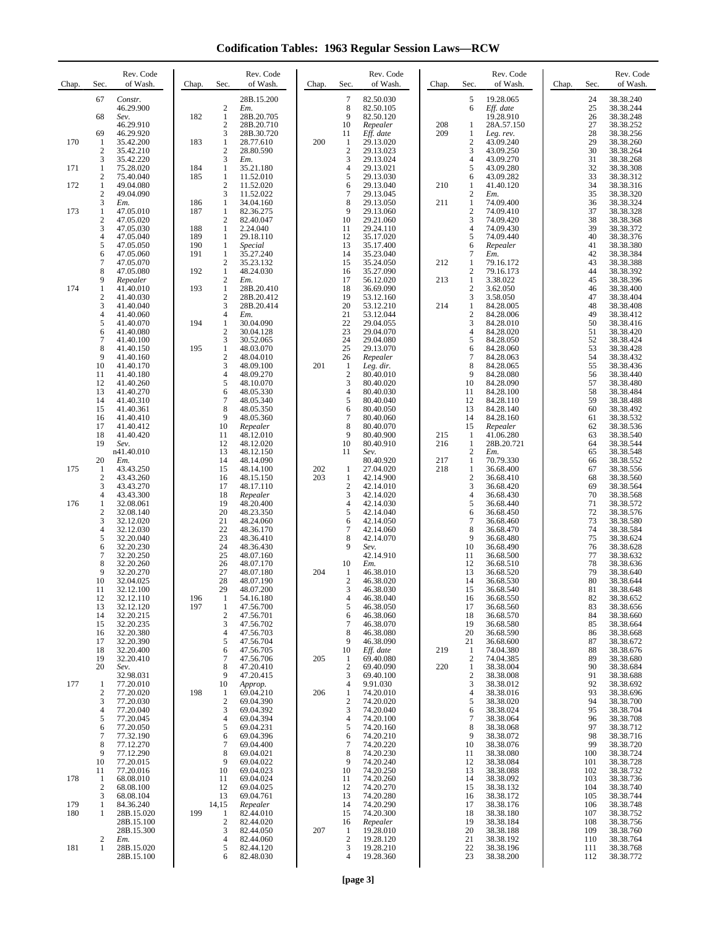**Codification Tables: 1963 Regular Session Laws—RCW**

| Chap. | Sec.                             | Rev. Code<br>of Wash.    | Chap.      | Sec.                                    | Rev. Code<br>of Wash.    | Chap. | Sec.                           | Rev. Code<br>of Wash.  | Chap.      | Sec.                           | Rev. Code<br>of Wash.   | Chap. | Sec.       | Rev. Code<br>of Wash.  |
|-------|----------------------------------|--------------------------|------------|-----------------------------------------|--------------------------|-------|--------------------------------|------------------------|------------|--------------------------------|-------------------------|-------|------------|------------------------|
|       | 67                               | Constr.<br>46.29.900     |            | $\overline{c}$                          | 28B.15.200<br>Em.        |       | $\boldsymbol{7}$<br>8          | 82.50.030<br>82.50.105 |            | 5<br>6                         | 19.28.065<br>Eff. date  |       | 24<br>25   | 38.38.240<br>38.38.244 |
|       | 68                               | Sev.<br>46.29.910        | 182        | $\mathbf{1}$<br>2                       | 28B.20.705<br>28B.20.710 |       | 9<br>10                        | 82.50.120<br>Repealer  | 208        | 1                              | 19.28.910<br>28A.57.150 |       | 26<br>27   | 38.38.248<br>38.38.252 |
| 170   | 69<br>-1                         | 46.29.920<br>35.42.200   | 183        | 3<br>$\mathbf{1}$                       | 28B.30.720<br>28.77.610  | 200   | 11<br>$\mathbf{1}$             | Eff. date              | 209        | 1<br>$\overline{c}$            | Leg. rev.<br>43.09.240  |       | 28<br>29   | 38.38.256<br>38.38.260 |
|       | 2                                | 35.42.210                |            | 2                                       | 28.80.590                |       | $\overline{c}$                 | 29.13.020<br>29.13.023 |            | 3                              | 43.09.250               |       | 30         | 38.38.264              |
| 171   | 3<br>1                           | 35.42.220<br>75.28.020   | 184        | 3<br>1                                  | Em.<br>35.21.180         |       | 3<br>$\overline{4}$            | 29.13.024<br>29.13.021 |            | 4<br>5                         | 43.09.270<br>43.09.280  |       | 31<br>32   | 38.38.268<br>38.38.308 |
| 172   | $\boldsymbol{2}$<br>$\mathbf{1}$ | 75.40.040<br>49.04.080   | 185        | $\mathbf{1}$<br>$\overline{\mathbf{c}}$ | 11.52.010<br>11.52.020   |       | 5<br>6                         | 29.13.030<br>29.13.040 | 210        | 6<br>1                         | 43.09.282<br>41.40.120  |       | 33<br>34   | 38.38.312<br>38.38.316 |
|       | $\sqrt{2}$<br>3                  | 49.04.090<br>Em.         | 186        | 3<br>1                                  | 11.52.022<br>34.04.160   |       | $\overline{7}$<br>8            | 29.13.045<br>29.13.050 | 211        | $\overline{c}$<br>$\mathbf{1}$ | Em.<br>74.09.400        |       | 35<br>36   | 38.38.320<br>38.38.324 |
| 173   | $\mathbf{1}$<br>$\mathbf{2}$     | 47.05.010<br>47.05.020   | 187        | 1<br>2                                  | 82.36.275<br>82.40.047   |       | 9<br>10                        | 29.13.060<br>29.21.060 |            | $\overline{c}$<br>3            | 74.09.410<br>74.09.420  |       | 37<br>38   | 38.38.328<br>38.38.368 |
|       | 3<br>4                           | 47.05.030<br>47.05.040   | 188<br>189 | 1<br>1                                  | 2.24.040<br>29.18.110    |       | 11<br>12                       | 29.24.110<br>35.17.020 |            | 4<br>5                         | 74.09.430<br>74.09.440  |       | 39<br>40   | 38.38.372<br>38.38.376 |
|       | 5<br>6                           | 47.05.050<br>47.05.060   | 190<br>191 | 1<br>$\mathbf{1}$                       | Special<br>35.27.240     |       | 13<br>14                       | 35.17.400<br>35.23.040 |            | 6<br>7                         | Repealer<br>Em.         |       | 41<br>42   | 38.38.380<br>38.38.384 |
|       | 7<br>8                           | 47.05.070<br>47.05.080   | 192        | 2<br>$\mathbf{1}$                       | 35.23.132<br>48.24.030   |       | 15<br>16                       | 35.24.050<br>35.27.090 | 212        | $\mathbf{1}$<br>$\overline{c}$ | 79.16.172<br>79.16.173  |       | 43<br>44   | 38.38.388<br>38.38.392 |
| 174   | 9<br>$\mathbf{1}$                | Repealer<br>41.40.010    | 193        | $\overline{c}$<br>$\mathbf{1}$          | Em.<br>28B.20.410        |       | 17<br>18                       | 56.12.020<br>36.69.090 | 213        | 1<br>$\overline{c}$            | 3.38.022<br>3.62.050    |       | 45<br>46   | 38.38.396<br>38.38.400 |
|       | $\mathbf{2}$<br>3                | 41.40.030<br>41.40.040   |            | 2<br>3                                  | 28B.20.412<br>28B.20.414 |       | 19<br>20                       | 53.12.160<br>53.12.210 | 214        | 3<br>$\mathbf{1}$              | 3.58.050<br>84.28.005   |       | 47<br>48   | 38.38.404<br>38.38.408 |
|       | 4<br>5                           | 41.40.060                | 194        | 4<br>1                                  | Em.<br>30.04.090         |       | 21<br>22                       | 53.12.044<br>29.04.055 |            | $\overline{c}$<br>3            | 84.28.006               |       | 49<br>50   | 38.38.412<br>38.38.416 |
|       | 6                                | 41.40.070<br>41.40.080   |            | $\boldsymbol{2}$                        | 30.04.128                |       | 23                             | 29.04.070              |            | 4                              | 84.28.010<br>84.28.020  |       | 51         | 38.38.420              |
|       | 7<br>8                           | 41.40.100<br>41.40.150   | 195        | 3<br>1                                  | 30.52.065<br>48.03.070   |       | 24<br>25                       | 29.04.080<br>29.13.070 |            | 5<br>6                         | 84.28.050<br>84.28.060  |       | 52<br>53   | 38.38.424<br>38.38.428 |
|       | 9<br>10                          | 41.40.160<br>41.40.170   |            | $\overline{\mathbf{c}}$<br>3            | 48.04.010<br>48.09.100   | 201   | 26<br>$\mathbf{1}$             | Repealer<br>Leg. dir.  |            | 7<br>8                         | 84.28.063<br>84.28.065  |       | 54<br>55   | 38.38.432<br>38.38.436 |
|       | 11<br>12                         | 41.40.180<br>41.40.260   |            | $\overline{4}$<br>5                     | 48.09.270<br>48.10.070   |       | $\sqrt{2}$<br>3                | 80.40.010<br>80.40.020 |            | 9<br>10                        | 84.28.080<br>84.28.090  |       | 56<br>57   | 38.38.440<br>38.38.480 |
|       | 13<br>14                         | 41.40.270<br>41.40.310   |            | 6<br>7                                  | 48.05.330<br>48.05.340   |       | $\overline{4}$<br>5            | 80.40.030<br>80.40.040 |            | 11<br>12                       | 84.28.100<br>84.28.110  |       | 58<br>59   | 38.38.484<br>38.38.488 |
|       | 15<br>16                         | 41.40.361<br>41.40.410   |            | 8<br>9                                  | 48.05.350<br>48.05.360   |       | 6<br>$\overline{7}$            | 80.40.050<br>80.40.060 |            | 13<br>14                       | 84.28.140<br>84.28.160  |       | 60<br>61   | 38.38.492<br>38.38.532 |
|       | 17<br>18                         | 41.40.412<br>41.40.420   |            | 10<br>11                                | Repealer<br>48.12.010    |       | 8<br>9                         | 80.40.070<br>80.40.900 | 215        | 15<br>$\mathbf{1}$             | Repealer<br>41.06.280   |       | 62<br>63   | 38.38.536<br>38.38.540 |
|       | 19                               | Sev.<br>n41.40.010       |            | 12<br>13                                | 48.12.020<br>48.12.150   |       | 10<br>11                       | 80.40.910<br>Sev.      | 216        | $\mathbf{1}$<br>2              | 28B.20.721<br>Em.       |       | 64<br>65   | 38.38.544<br>38.38.548 |
| 175   | 20<br>-1                         | Em.<br>43.43.250         |            | 14<br>15                                | 48.14.090<br>48.14.100   | 202   | $\mathbf{1}$                   | 80.40.920<br>27.04.020 | 217<br>218 | $\mathbf{1}$<br>$\mathbf{1}$   | 70.79.330<br>36.68.400  |       | 66<br>67   | 38.38.552<br>38.38.556 |
|       | $\overline{2}$<br>3              | 43.43.260<br>43.43.270   |            | 16<br>17                                | 48.15.150<br>48.17.110   | 203   | 1<br>$\overline{c}$            | 42.14.900<br>42.14.010 |            | $\overline{c}$<br>3            | 36.68.410<br>36.68.420  |       | 68<br>69   | 38.38.560<br>38.38.564 |
| 176   | 4<br>$\mathbf{1}$                | 43.43.300<br>32.08.061   |            | 18<br>19                                | Repealer<br>48.20.400    |       | 3<br>$\overline{4}$            | 42.14.020<br>42.14.030 |            | 4<br>5                         | 36.68.430<br>36.68.440  |       | 70<br>71   | 38.38.568<br>38.38.572 |
|       | 2<br>3                           | 32.08.140<br>32.12.020   |            | 20<br>21                                | 48.23.350<br>48.24.060   |       | 5<br>6                         | 42.14.040<br>42.14.050 |            | 6<br>7                         | 36.68.450<br>36.68.460  |       | 72<br>73   | 38.38.576<br>38.38.580 |
|       | 4<br>5                           | 32.12.030<br>32.20.040   |            | 22<br>23                                | 48.36.170<br>48.36.410   |       | $\overline{7}$<br>8            | 42.14.060<br>42.14.070 |            | 8<br>9                         | 36.68.470<br>36.68.480  |       | 74<br>75   | 38.38.584<br>38.38.624 |
|       | 6<br>7                           | 32.20.230<br>32.20.250   |            | 24<br>25                                | 48.36.430<br>48.07.160   |       | 9                              | Sev.<br>42.14.910      |            | 10<br>11                       | 36.68.490<br>36.68.500  |       | 76<br>77   | 38.38.628<br>38.38.632 |
|       | 8<br>9                           | 32.20.260<br>32.20.270   |            | 26<br>27                                | 48.07.170<br>48.07.180   | 204   | 10<br>1                        | Em.<br>46.38.010       |            | 12<br>13                       | 36.68.510<br>36.68.520  |       | 78<br>79   | 38.38.636<br>38.38.640 |
|       | 10                               | 32.04.025                |            | 28                                      | 48.07.190                |       | $\overline{c}$                 | 46.38.020<br>46.38.030 |            | 14                             | 36.68.530<br>36.68.540  |       | 80         | 38.38.644              |
|       | 11<br>12                         | 32.12.100<br>32.12.110   | 196        | 29<br>1                                 | 48.07.200<br>54.16.180   |       | 3<br>$\overline{4}$            | 46.38.040              |            | 15<br>16                       | 36.68.550               |       | 81<br>82   | 38.38.648<br>38.38.652 |
|       | 13<br>14                         | 32.12.120<br>32.20.215   | 197        | 1<br>$\overline{c}$                     | 47.56.700<br>47.56.701   |       | 5<br>6                         | 46.38.050<br>46.38.060 |            | 17<br>18                       | 36.68.560<br>36.68.570  |       | 83<br>84   | 38.38.656<br>38.38.660 |
|       | 15<br>16                         | 32.20.235<br>32.20.380   |            | 3<br>4                                  | 47.56.702<br>47.56.703   |       | $\overline{7}$<br>8            | 46.38.070<br>46.38.080 |            | 19<br>20                       | 36.68.580<br>36.68.590  |       | 85<br>86   | 38.38.664<br>38.38.668 |
|       | 17<br>18                         | 32.20.390<br>32.20.400   |            | 5<br>6                                  | 47.56.704<br>47.56.705   |       | 9<br>10                        | 46.38.090<br>Eff. date | 219        | 21<br>-1                       | 36.68.600<br>74.04.380  |       | 87<br>88   | 38.38.672<br>38.38.676 |
|       | 19<br>20                         | 32.20.410<br>Sev.        |            | 7<br>8                                  | 47.56.706<br>47.20.410   | 205   | 1<br>$\overline{2}$            | 69.40.080<br>69.40.090 | 220        | $\overline{2}$<br>1            | 74.04.385<br>38.38.004  |       | 89<br>90   | 38.38.680<br>38.38.684 |
| 177   | $\mathbf{1}$                     | 32.98.031<br>77.20.010   |            | 9<br>10                                 | 47.20.415<br>Approp.     |       | 3<br>$\overline{4}$            | 69.40.100<br>9.91.030  |            | $\overline{c}$<br>3            | 38.38.008<br>38.38.012  |       | 91<br>92   | 38.38.688<br>38.38.692 |
|       | 2<br>3                           | 77.20.020<br>77.20.030   | 198        | 1<br>$\overline{c}$                     | 69.04.210<br>69.04.390   | 206   | $\mathbf{1}$<br>$\overline{c}$ | 74.20.010<br>74.20.020 |            | 4<br>5                         | 38.38.016<br>38.38.020  |       | 93<br>94   | 38.38.696<br>38.38.700 |
|       | 4<br>5                           | 77.20.040<br>77.20.045   |            | 3<br>$\overline{4}$                     | 69.04.392<br>69.04.394   |       | 3<br>$\overline{4}$            | 74.20.040<br>74.20.100 |            | 6<br>7                         | 38.38.024<br>38.38.064  |       | 95<br>96   | 38.38.704<br>38.38.708 |
|       | 6<br>7                           | 77.20.050<br>77.32.190   |            | 5<br>6                                  | 69.04.231<br>69.04.396   |       | 5<br>6                         | 74.20.160<br>74.20.210 |            | 8<br>9                         | 38.38.068<br>38.38.072  |       | 97<br>98   | 38.38.712<br>38.38.716 |
|       | 8<br>9                           | 77.12.270<br>77.12.290   |            | 7<br>8                                  | 69.04.400<br>69.04.021   |       | $\overline{7}$<br>8            | 74.20.220<br>74.20.230 |            | 10<br>11                       | 38.38.076<br>38.38.080  |       | 99<br>100  | 38.38.720<br>38.38.724 |
|       | 10<br>11                         | 77.20.015<br>77.20.016   |            | 9<br>10                                 | 69.04.022<br>69.04.023   |       | 9<br>10                        | 74.20.240<br>74.20.250 |            | 12<br>13                       | 38.38.084<br>38.38.088  |       | 101<br>102 | 38.38.728<br>38.38.732 |
| 178   | $\mathbf{1}$<br>2                | 68.08.010<br>68.08.100   |            | 11<br>12                                | 69.04.024<br>69.04.025   |       | 11<br>12                       | 74.20.260<br>74.20.270 |            | 14<br>15                       | 38.38.092<br>38.38.132  |       | 103<br>104 | 38.38.736<br>38.38.740 |
| 179   | 3<br>1                           | 68.08.104<br>84.36.240   |            | 13<br>14,15                             | 69.04.761<br>Repealer    |       | 13<br>14                       | 74.20.280<br>74.20.290 |            | 16<br>17                       | 38.38.172<br>38.38.176  |       | 105<br>106 | 38.38.744<br>38.38.748 |
| 180   | 1                                | 28B.15.020<br>28B.15.100 | 199        | 1<br>2                                  | 82.44.010<br>82.44.020   |       | 15<br>16                       | 74.20.300<br>Repealer  |            | 18<br>19                       | 38.38.180<br>38.38.184  |       | 107<br>108 | 38.38.752<br>38.38.756 |
|       | $\overline{2}$                   | 28B.15.300<br>Em.        |            | 3<br>4                                  | 82.44.050<br>82.44.060   | 207   | 1<br>$\overline{c}$            | 19.28.010<br>19.28.120 |            | 20<br>21                       | 38.38.188<br>38.38.192  |       | 109<br>110 | 38.38.760<br>38.38.764 |
| 181   | 1                                | 28B.15.020<br>28B.15.100 |            | 5<br>6                                  | 82.44.120<br>82.48.030   |       | 3<br>$\overline{4}$            | 19.28.210              |            | 22<br>23                       | 38.38.196               |       | 111<br>112 | 38.38.768              |
|       |                                  |                          |            |                                         |                          |       |                                | 19.28.360              |            |                                | 38.38.200               |       |            | 38.38.772              |